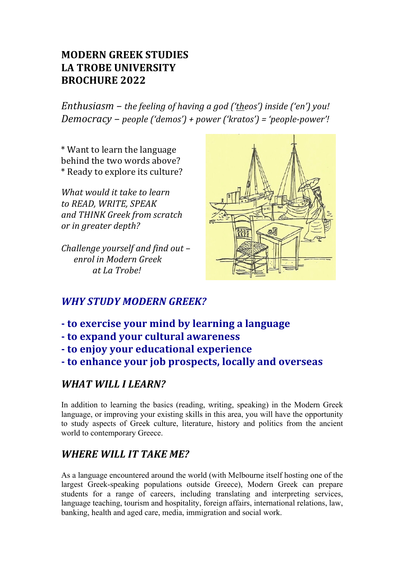# **MODERN GREEK STUDIES** LA TROBE UNIVERSITY **BROCHURE 2022**

*Enthusiasm* – *the feeling of having a god ('theos') inside ('en')* you! *Democracy* – *people* ('demos') + power ('kratos') = 'people-power'!

\* Want to learn the language behind the two words above? \* Ready to explore its culture?

*What* would it take to learn *to READ, WRITE, SPEAK and THINK Greek from scratch or in greater depth?*

*Challenge vourself and find out – <u>enrol</u> in Modern Greek at La Trobe!* 



# *WHY STUDY MODERN GREEK?*

- **- to exercise your mind by learning a language**
- **- to expand your cultural awareness**
- **- to enjoy your educational experience**
- **- to enhance your job prospects, locally and overseas**

# WHAT WILL I LEARN?

In addition to learning the basics (reading, writing, speaking) in the Modern Greek language, or improving your existing skills in this area, you will have the opportunity to study aspects of Greek culture, literature, history and politics from the ancient world to contemporary Greece.

# *WHERE WILL IT TAKE ME?*

As a language encountered around the world (with Melbourne itself hosting one of the largest Greek-speaking populations outside Greece), Modern Greek can prepare students for a range of careers, including translating and interpreting services, language teaching, tourism and hospitality, foreign affairs, international relations, law, banking, health and aged care, media, immigration and social work.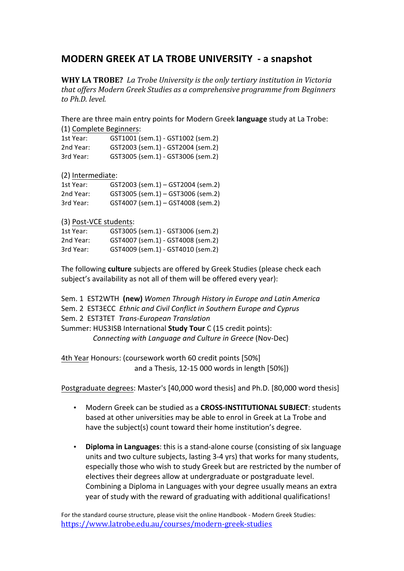### **MODERN GREEK AT LA TROBE UNIVERSITY - a snapshot**

**WHY LA TROBE?** La Trobe University is the only tertiary institution in Victoria *that offers Modern Greek Studies as a comprehensive programme from Beginners to Ph.D. level.*

There are three main entry points for Modern Greek **language** study at La Trobe: (1) Complete Beginners:

| 1st Year: | GST1001 (sem.1) - GST1002 (sem.2) |
|-----------|-----------------------------------|
| 2nd Year: | GST2003 (sem.1) - GST2004 (sem.2) |
| 3rd Year: | GST3005 (sem.1) - GST3006 (sem.2) |

(2) Intermediate:

| 1st Year: | GST2003 (sem.1) - GST2004 (sem.2) |
|-----------|-----------------------------------|
| 2nd Year: | GST3005 (sem.1) - GST3006 (sem.2) |
| 3rd Year: | GST4007 (sem.1) - GST4008 (sem.2) |

(3) Post-VCE students:

| 1st Year: | GST3005 (sem.1) - GST3006 (sem.2) |
|-----------|-----------------------------------|
| 2nd Year: | GST4007 (sem.1) - GST4008 (sem.2) |
| 3rd Year: | GST4009 (sem.1) - GST4010 (sem.2) |

The following **culture** subjects are offered by Greek Studies (please check each subject's availability as not all of them will be offered every year):

Sem. 1 EST2WTH (new) Women Through History in Europe and Latin America Sem. 2 EST3ECC Ethnic and Civil Conflict in Southern Europe and Cyprus Sem. 2 EST3TET Trans-European Translation Summer: HUS3ISB International **Study Tour** C (15 credit points): *Connecting with Language and Culture in Greece* (Nov-Dec)

4th Year Honours: (coursework worth 60 credit points [50%] and a Thesis,  $12-15000$  words in length  $[50\%]$ )

Postgraduate degrees: Master's [40,000 word thesis] and Ph.D. [80,000 word thesis]

- Modern Greek can be studied as a **CROSS-INSTITUTIONAL SUBJECT**: students based at other universities may be able to enrol in Greek at La Trobe and have the subject(s) count toward their home institution's degree.
- Diploma in Languages: this is a stand-alone course (consisting of six language units and two culture subjects, lasting 3-4 yrs) that works for many students, especially those who wish to study Greek but are restricted by the number of electives their degrees allow at undergraduate or postgraduate level. Combining a Diploma in Languages with your degree usually means an extra year of study with the reward of graduating with additional qualifications!

For the standard course structure, please visit the online Handbook - Modern Greek Studies: https://www.latrobe.edu.au/courses/modern-greek-studies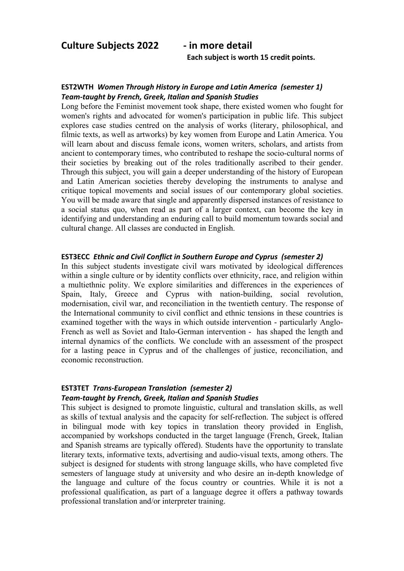**Culture Subjects 2022 - in more detail**

Each subject is worth 15 credit points.

### **EST2WTH** Women Through History in Europe and Latin America (semester 1) *Team-taught by French, Greek, Italian and Spanish Studies*

Long before the Feminist movement took shape, there existed women who fought for women's rights and advocated for women's participation in public life. This subject explores case studies centred on the analysis of works (literary, philosophical, and filmic texts, as well as artworks) by key women from Europe and Latin America. You will learn about and discuss female icons, women writers, scholars, and artists from ancient to contemporary times, who contributed to reshape the socio-cultural norms of their societies by breaking out of the roles traditionally ascribed to their gender. Through this subject, you will gain a deeper understanding of the history of European and Latin American societies thereby developing the instruments to analyse and critique topical movements and social issues of our contemporary global societies. You will be made aware that single and apparently dispersed instances of resistance to a social status quo, when read as part of a larger context, can become the key in identifying and understanding an enduring call to build momentum towards social and cultural change. All classes are conducted in English.

#### **EST3ECC** *Ethnic and Civil Conflict in Southern Europe and Cyprus (semester 2)*

In this subject students investigate civil wars motivated by ideological differences within a single culture or by identity conflicts over ethnicity, race, and religion within a multiethnic polity. We explore similarities and differences in the experiences of Spain, Italy, Greece and Cyprus with nation-building, social revolution, modernisation, civil war, and reconciliation in the twentieth century. The response of the International community to civil conflict and ethnic tensions in these countries is examined together with the ways in which outside intervention - particularly Anglo-French as well as Soviet and Italo-German intervention - has shaped the length and internal dynamics of the conflicts. We conclude with an assessment of the prospect for a lasting peace in Cyprus and of the challenges of justice, reconciliation, and economic reconstruction.

#### **EST3TET Trans-European Translation (semester 2)** *Team-taught by French, Greek, Italian and Spanish Studies*

This subject is designed to promote linguistic, cultural and translation skills, as well as skills of textual analysis and the capacity for self-reflection. The subject is offered in bilingual mode with key topics in translation theory provided in English, accompanied by workshops conducted in the target language (French, Greek, Italian and Spanish streams are typically offered). Students have the opportunity to translate literary texts, informative texts, advertising and audio-visual texts, among others. The subject is designed for students with strong language skills, who have completed five semesters of language study at university and who desire an in-depth knowledge of the language and culture of the focus country or countries. While it is not a professional qualification, as part of a language degree it offers a pathway towards professional translation and/or interpreter training.